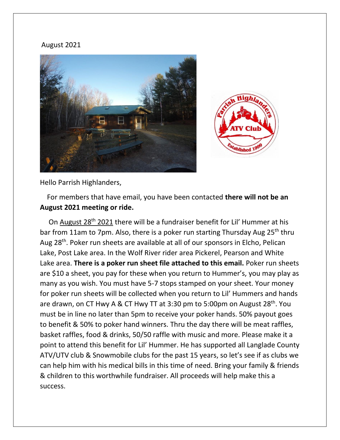## August 2021





Hello Parrish Highlanders,

 For members that have email, you have been contacted **there will not be an August 2021 meeting or ride.**

 On August 28th 2021 there will be a fundraiser benefit for Lil' Hummer at his bar from 11am to 7pm. Also, there is a poker run starting Thursday Aug 25<sup>th</sup> thru Aug 28<sup>th</sup>. Poker run sheets are available at all of our sponsors in Elcho, Pelican Lake, Post Lake area. In the Wolf River rider area Pickerel, Pearson and White Lake area. **There is a poker run sheet file attached to this email.** Poker run sheets are \$10 a sheet, you pay for these when you return to Hummer's, you may play as many as you wish. You must have 5-7 stops stamped on your sheet. Your money for poker run sheets will be collected when you return to Lil' Hummers and hands are drawn, on CT Hwy A & CT Hwy TT at 3:30 pm to 5:00pm on August  $28<sup>th</sup>$ . You must be in line no later than 5pm to receive your poker hands. 50% payout goes to benefit & 50% to poker hand winners. Thru the day there will be meat raffles, basket raffles, food & drinks, 50/50 raffle with music and more. Please make it a point to attend this benefit for Lil' Hummer. He has supported all Langlade County ATV/UTV club & Snowmobile clubs for the past 15 years, so let's see if as clubs we can help him with his medical bills in this time of need. Bring your family & friends & children to this worthwhile fundraiser. All proceeds will help make this a success.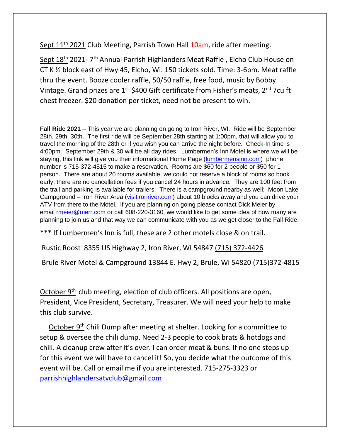Sept 11<sup>th</sup> 2021 Club Meeting, Parrish Town Hall 10am, ride after meeting.

Sept 18<sup>th</sup> 2021- 7<sup>th</sup> Annual Parrish Highlanders Meat Raffle , Elcho Club House on CT K ½ block east of Hwy 45, Elcho, Wi. 150 tickets sold. Time: 3-6pm. Meat raffle thru the event. Booze cooler raffle, 50/50 raffle, free food, music by Bobby Vintage. Grand prizes are  $1^{st}$  \$400 Gift certificate from Fisher's meats,  $2^{nd}$  7cu ft chest freezer. \$20 donation per ticket, need not be present to win.

**Fall Ride 2021** – This year we are planning on going to Iron River, WI. Ride will be September 28th, 29th, 30th. The first ride will be September 28th starting at 1:00pm, that will allow you to travel the morning of the 28th or if you wish you can arrive the night before. Check-In time is 4:00pm. September 29th & 30 will be all day rides. Lumbermen's Inn Motel is where we will be staying, this link will give you their informational Home Page [\(lumbermensinn.com\)](http://lumbermensinn.com/) phone number is 715-372-4515 to make a reservation. Rooms are \$60 for 2 people or \$50 for 1 person. There are about 20 rooms available, we could not reserve a block of rooms so book early, there are no cancellation fees if you cancel 24 hours in advance. They are 100 feet from the trail and parking is available for trailers. There is a campground nearby as well; Moon Lake Campground – Iron River Area [\(visitironriver.com\)](http://visitironriver.com/) about 10 blocks away and you can drive your ATV from there to the Motel. If you are planning on going please contact Dick Meier by email [rmeier@merr.com](mailto:rmeier@merr.com) or call 608-220-3160, we would like to get some idea of how many are planning to join us and that way we can communicate with you as we get closer to the Fall Ride.

\*\*\* If Lumbermen's Inn is full, these are 2 other motels close & on trail.

Rustic Roost 8355 US Highway 2, Iron River, WI 54847 [\(715\) 372-4426](tel:7153724426)

Brule River Motel & Campground 13844 E. Hwy 2, Brule, Wi 54820 (715)372-4815

October  $9<sup>th</sup>$  club meeting, election of club officers. All positions are open, President, Vice President, Secretary, Treasurer. We will need your help to make this club survive.

October 9<sup>th</sup> Chili Dump after meeting at shelter. Looking for a committee to setup & oversee the chili dump. Need 2-3 people to cook brats & hotdogs and chili. A cleanup crew after it's over. I can order meat & buns. If no one steps up for this event we will have to cancel it! So, you decide what the outcome of this event will be. Call or email me if you are interested. 715-275-3323 or [parrishhighlandersatvclub@gmail.com](mailto:parrishhighlandersatvclub@gmail.com)